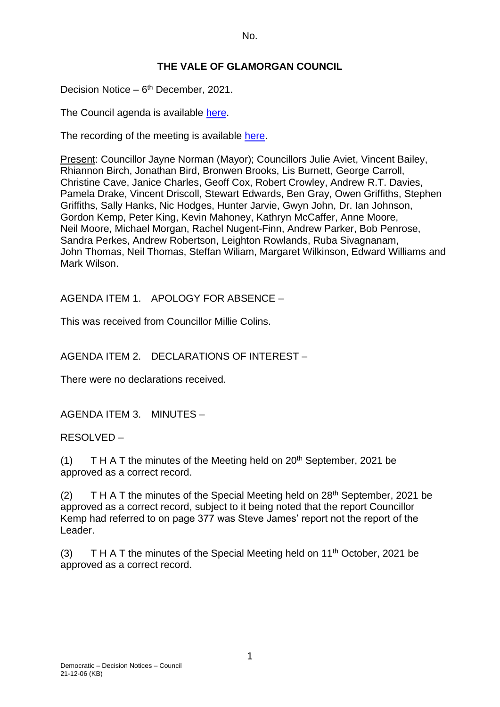# **THE VALE OF GLAMORGAN COUNCIL**

Decision Notice - 6<sup>th</sup> December, 2021.

The Council agenda is available [here.](https://www.valeofglamorgan.gov.uk/en/our_council/Council-Structure/minutes,_agendas_and_reports/agendas/council/2021/21-12-06.aspx)

The recording of the meeting is available [here.](https://www.youtube.com/watch?v=wxqhN_1lihI&list=PLzt4i14pgqIFIu5GcsMs1g6b5IUR90m5d&index=1&t=10861s)

Present: Councillor Jayne Norman (Mayor); Councillors Julie Aviet, Vincent Bailey, Rhiannon Birch, Jonathan Bird, Bronwen Brooks, Lis Burnett, George Carroll, Christine Cave, Janice Charles, Geoff Cox, Robert Crowley, Andrew R.T. Davies, Pamela Drake, Vincent Driscoll, Stewart Edwards, Ben Gray, Owen Griffiths, Stephen Griffiths, Sally Hanks, Nic Hodges, Hunter Jarvie, Gwyn John, Dr. Ian Johnson, Gordon Kemp, Peter King, Kevin Mahoney, Kathryn McCaffer, Anne Moore, Neil Moore, Michael Morgan, Rachel Nugent-Finn, Andrew Parker, Bob Penrose, Sandra Perkes, Andrew Robertson, Leighton Rowlands, Ruba Sivagnanam, John Thomas, Neil Thomas, Steffan Wiliam, Margaret Wilkinson, Edward Williams and Mark Wilson.

AGENDA ITEM 1. APOLOGY FOR ABSENCE –

This was received from Councillor Millie Colins.

AGENDA ITEM 2. DECLARATIONS OF INTEREST –

There were no declarations received.

AGENDA ITEM 3. MINUTES –

RESOLVED –

(1) T H A T the minutes of the Meeting held on  $20<sup>th</sup>$  September, 2021 be approved as a correct record.

(2)  $T H A T$  the minutes of the Special Meeting held on  $28<sup>th</sup>$  September, 2021 be approved as a correct record, subject to it being noted that the report Councillor Kemp had referred to on page 377 was Steve James' report not the report of the Leader.

(3) T H A T the minutes of the Special Meeting held on  $11<sup>th</sup>$  October, 2021 be approved as a correct record.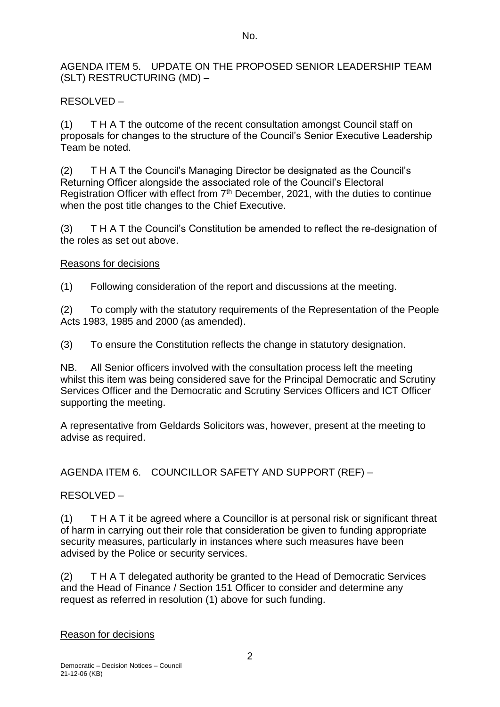AGENDA ITEM 5. UPDATE ON THE PROPOSED SENIOR LEADERSHIP TEAM (SLT) RESTRUCTURING (MD) –

# RESOLVED –

(1) T H A T the outcome of the recent consultation amongst Council staff on proposals for changes to the structure of the Council's Senior Executive Leadership Team be noted.

(2) T H A T the Council's Managing Director be designated as the Council's Returning Officer alongside the associated role of the Council's Electoral Registration Officer with effect from 7<sup>th</sup> December, 2021, with the duties to continue when the post title changes to the Chief Executive.

(3) T H A T the Council's Constitution be amended to reflect the re-designation of the roles as set out above.

# Reasons for decisions

(1) Following consideration of the report and discussions at the meeting.

(2) To comply with the statutory requirements of the Representation of the People Acts 1983, 1985 and 2000 (as amended).

(3) To ensure the Constitution reflects the change in statutory designation.

NB. All Senior officers involved with the consultation process left the meeting whilst this item was being considered save for the Principal Democratic and Scrutiny Services Officer and the Democratic and Scrutiny Services Officers and ICT Officer supporting the meeting.

A representative from Geldards Solicitors was, however, present at the meeting to advise as required.

AGENDA ITEM 6. COUNCILLOR SAFETY AND SUPPORT (REF) –

# RESOLVED –

(1) T H A T it be agreed where a Councillor is at personal risk or significant threat of harm in carrying out their role that consideration be given to funding appropriate security measures, particularly in instances where such measures have been advised by the Police or security services.

(2) T H A T delegated authority be granted to the Head of Democratic Services and the Head of Finance / Section 151 Officer to consider and determine any request as referred in resolution (1) above for such funding.

# Reason for decisions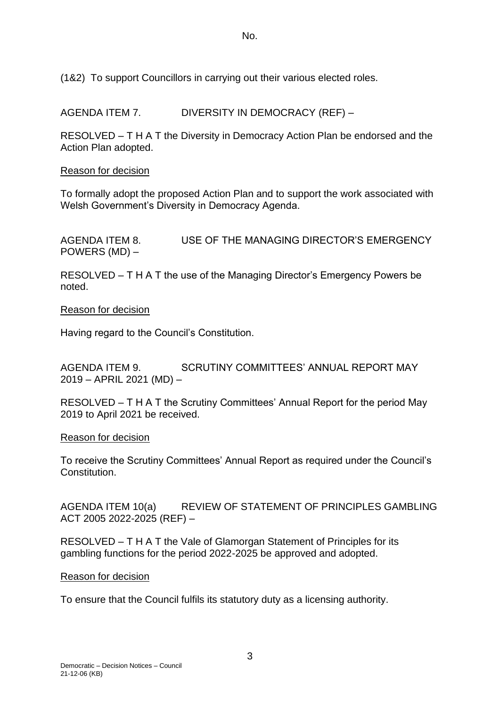(1&2) To support Councillors in carrying out their various elected roles.

AGENDA ITEM 7. DIVERSITY IN DEMOCRACY (REF) –

RESOLVED – T H A T the Diversity in Democracy Action Plan be endorsed and the Action Plan adopted.

#### Reason for decision

To formally adopt the proposed Action Plan and to support the work associated with Welsh Government's Diversity in Democracy Agenda.

AGENDA ITEM 8. USE OF THE MANAGING DIRECTOR'S EMERGENCY POWERS (MD) –

RESOLVED – T H A T the use of the Managing Director's Emergency Powers be noted.

Reason for decision

Having regard to the Council's Constitution.

AGENDA ITEM 9. SCRUTINY COMMITTEES' ANNUAL REPORT MAY 2019 – APRIL 2021 (MD) –

RESOLVED – T H A T the Scrutiny Committees' Annual Report for the period May 2019 to April 2021 be received.

Reason for decision

To receive the Scrutiny Committees' Annual Report as required under the Council's **Constitution** 

AGENDA ITEM 10(a) REVIEW OF STATEMENT OF PRINCIPLES GAMBLING ACT 2005 2022-2025 (REF) –

RESOLVED – T H A T the Vale of Glamorgan Statement of Principles for its gambling functions for the period 2022-2025 be approved and adopted.

#### Reason for decision

To ensure that the Council fulfils its statutory duty as a licensing authority.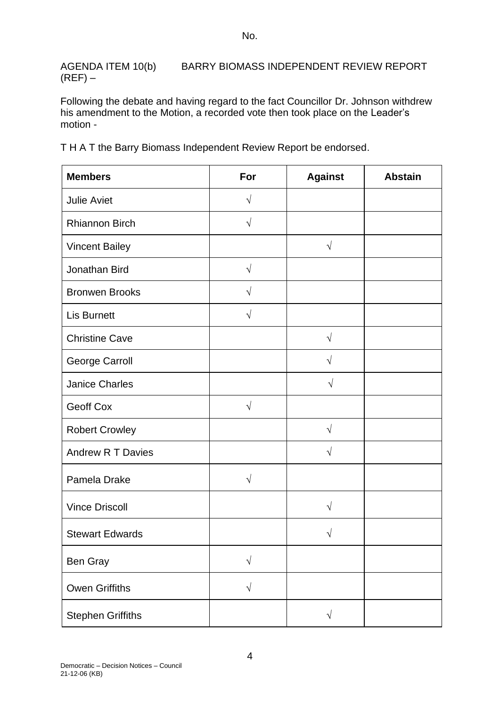AGENDA ITEM 10(b) BARRY BIOMASS INDEPENDENT REVIEW REPORT  $(REF)$  –

Following the debate and having regard to the fact Councillor Dr. Johnson withdrew his amendment to the Motion, a recorded vote then took place on the Leader's motion -

T H A T the Barry Biomass Independent Review Report be endorsed.

| <b>Members</b>           | For       | <b>Against</b> | <b>Abstain</b> |
|--------------------------|-----------|----------------|----------------|
| <b>Julie Aviet</b>       | $\sqrt{}$ |                |                |
| Rhiannon Birch           | $\sqrt{}$ |                |                |
| <b>Vincent Bailey</b>    |           | $\sqrt{}$      |                |
| Jonathan Bird            | $\sqrt{}$ |                |                |
| <b>Bronwen Brooks</b>    | $\sqrt{}$ |                |                |
| <b>Lis Burnett</b>       | $\sqrt{}$ |                |                |
| <b>Christine Cave</b>    |           | $\sqrt{ }$     |                |
| <b>George Carroll</b>    |           | $\sqrt{}$      |                |
| <b>Janice Charles</b>    |           | $\sqrt{}$      |                |
| <b>Geoff Cox</b>         | $\sqrt{}$ |                |                |
| <b>Robert Crowley</b>    |           | $\sqrt{}$      |                |
| <b>Andrew R T Davies</b> |           | V              |                |
| Pamela Drake             | $\sqrt{}$ |                |                |
| <b>Vince Driscoll</b>    |           | $\sqrt{}$      |                |
| <b>Stewart Edwards</b>   |           | V              |                |
| Ben Gray                 | $\sqrt{}$ |                |                |
| <b>Owen Griffiths</b>    | $\sqrt{}$ |                |                |
| <b>Stephen Griffiths</b> |           | $\sqrt{}$      |                |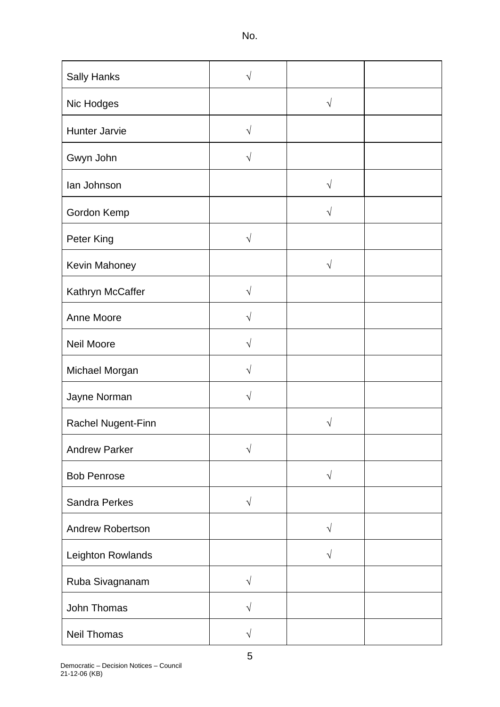| <b>Sally Hanks</b>      | V          |           |  |
|-------------------------|------------|-----------|--|
| Nic Hodges              |            | $\sqrt{}$ |  |
| <b>Hunter Jarvie</b>    | $\sqrt{}$  |           |  |
| Gwyn John               | V          |           |  |
| lan Johnson             |            | $\sqrt{}$ |  |
| Gordon Kemp             |            | $\sqrt{}$ |  |
| Peter King              | $\sqrt{ }$ |           |  |
| Kevin Mahoney           |            | $\sqrt{}$ |  |
| Kathryn McCaffer        | V          |           |  |
| Anne Moore              | V          |           |  |
| <b>Neil Moore</b>       | V          |           |  |
| Michael Morgan          | V          |           |  |
| Jayne Norman            | $\sqrt{}$  |           |  |
| Rachel Nugent-Finn      |            | V         |  |
| <b>Andrew Parker</b>    | V          |           |  |
| <b>Bob Penrose</b>      |            | $\sqrt{}$ |  |
| <b>Sandra Perkes</b>    | $\sqrt{}$  |           |  |
| <b>Andrew Robertson</b> |            | $\sqrt{}$ |  |
| Leighton Rowlands       |            | $\sqrt{}$ |  |
| Ruba Sivagnanam         | $\sqrt{}$  |           |  |
| John Thomas             | $\sqrt{}$  |           |  |
| Neil Thomas             | $\sqrt{}$  |           |  |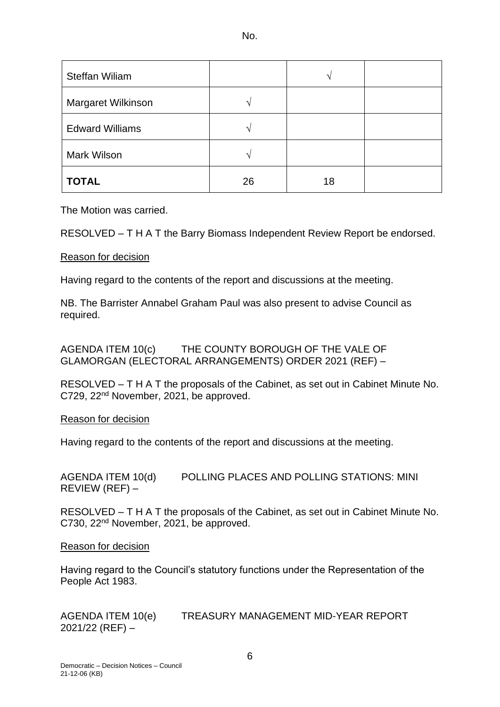| e e<br>×<br>۰.<br>۰. |
|----------------------|
|----------------------|

| <b>Steffan Wiliam</b>  |                   | ٦  |  |
|------------------------|-------------------|----|--|
| Margaret Wilkinson     | $\mathbf \Lambda$ |    |  |
| <b>Edward Williams</b> | $\triangle$       |    |  |
| <b>Mark Wilson</b>     | $\mathcal{L}$     |    |  |
| <b>TOTAL</b>           | 26                | 18 |  |

The Motion was carried.

RESOLVED – T H A T the Barry Biomass Independent Review Report be endorsed.

### Reason for decision

Having regard to the contents of the report and discussions at the meeting.

NB. The Barrister Annabel Graham Paul was also present to advise Council as required.

AGENDA ITEM 10(c) THE COUNTY BOROUGH OF THE VALE OF GLAMORGAN (ELECTORAL ARRANGEMENTS) ORDER 2021 (REF) –

RESOLVED – T H A T the proposals of the Cabinet, as set out in Cabinet Minute No. C729, 22nd November, 2021, be approved.

#### Reason for decision

Having regard to the contents of the report and discussions at the meeting.

AGENDA ITEM 10(d) POLLING PLACES AND POLLING STATIONS: MINI REVIEW (REF) –

RESOLVED – T H A T the proposals of the Cabinet, as set out in Cabinet Minute No. C730, 22nd November, 2021, be approved.

#### Reason for decision

Having regard to the Council's statutory functions under the Representation of the People Act 1983.

AGENDA ITEM 10(e) TREASURY MANAGEMENT MID-YEAR REPORT 2021/22 (REF) –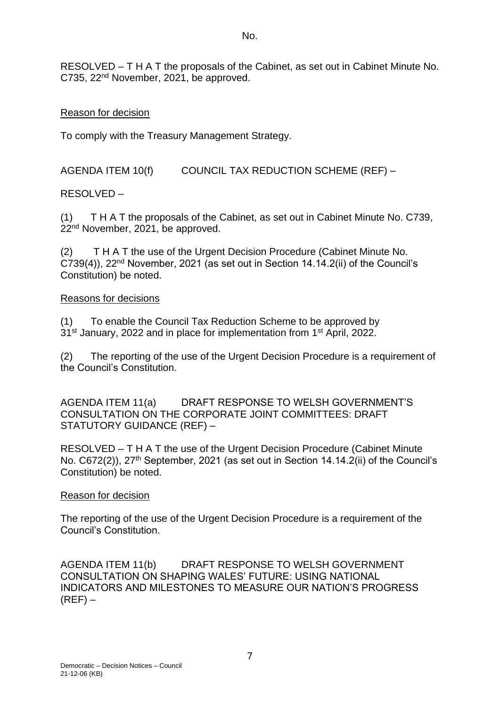RESOLVED – T H A T the proposals of the Cabinet, as set out in Cabinet Minute No. C735, 22nd November, 2021, be approved.

## Reason for decision

To comply with the Treasury Management Strategy.

AGENDA ITEM 10(f) COUNCIL TAX REDUCTION SCHEME (REF) –

RESOLVED –

(1) T H A T the proposals of the Cabinet, as set out in Cabinet Minute No. C739, 22<sup>nd</sup> November, 2021, be approved.

(2) T H A T the use of the Urgent Decision Procedure (Cabinet Minute No. C739(4)), 22nd November, 2021 (as set out in Section 14.14.2(ii) of the Council's Constitution) be noted.

### Reasons for decisions

(1) To enable the Council Tax Reduction Scheme to be approved by 31<sup>st</sup> January, 2022 and in place for implementation from 1<sup>st</sup> April, 2022.

(2) The reporting of the use of the Urgent Decision Procedure is a requirement of the Council's Constitution.

AGENDA ITEM 11(a) DRAFT RESPONSE TO WELSH GOVERNMENT'S CONSULTATION ON THE CORPORATE JOINT COMMITTEES: DRAFT STATUTORY GUIDANCE (REF) –

RESOLVED – T H A T the use of the Urgent Decision Procedure (Cabinet Minute No. C672(2)), 27<sup>th</sup> September, 2021 (as set out in Section 14.14.2(ii) of the Council's Constitution) be noted.

## Reason for decision

The reporting of the use of the Urgent Decision Procedure is a requirement of the Council's Constitution.

AGENDA ITEM 11(b) DRAFT RESPONSE TO WELSH GOVERNMENT CONSULTATION ON SHAPING WALES' FUTURE: USING NATIONAL INDICATORS AND MILESTONES TO MEASURE OUR NATION'S PROGRESS  $(REF)$  –

7